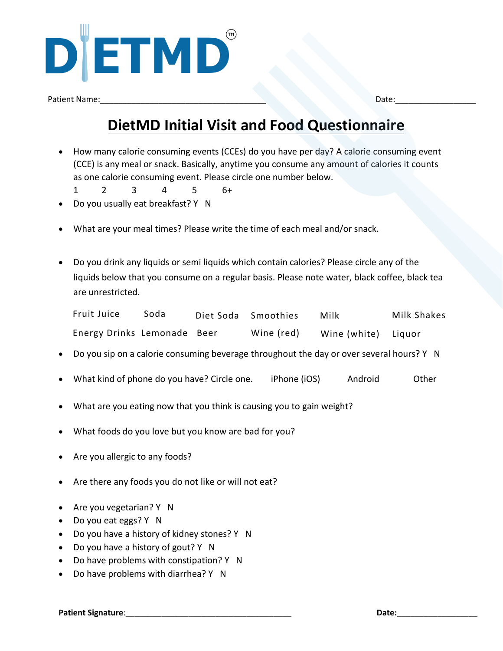

Patient Name:\_\_\_\_\_\_\_\_\_\_\_\_\_\_\_\_\_\_\_\_\_\_\_\_\_\_\_\_\_\_\_\_\_\_\_\_\_ Date:\_\_\_\_\_\_\_\_\_\_\_\_\_\_\_\_\_\_

## **DietMD Initial Visit and Food Questionnaire**

- How many calorie consuming events (CCEs) do you have per day? A calorie consuming event (CCE) is any meal or snack. Basically, anytime you consume any amount of calories it counts as one calorie consuming event. Please circle one number below.
	- 1 2 3 4 5 6+
- Do you usually eat breakfast? Y N
- What are your meal times? Please write the time of each meal and/or snack.
- Do you drink any liquids or semi liquids which contain calories? Please circle any of the liquids below that you consume on a regular basis. Please note water, black coffee, black tea are unrestricted.

| Fruit Juice                 | Soda | Diet Soda Smoothies | Milk                | Milk Shakes |
|-----------------------------|------|---------------------|---------------------|-------------|
| Energy Drinks Lemonade Beer |      | Wine (red)          | Wine (white) Liquor |             |

- Do you sip on a calorie consuming beverage throughout the day or over several hours? Y N
- What kind of phone do you have? Circle one. iPhone (iOS) Mandroid Other
- What are you eating now that you think is causing you to gain weight?
- What foods do you love but you know are bad for you?
- Are you allergic to any foods?
- Are there any foods you do not like or will not eat?
- Are you vegetarian? Y N
- Do you eat eggs? Y N
- Do you have a history of kidney stones? Y N
- Do you have a history of gout? Y N
- Do have problems with constipation? Y N
- Do have problems with diarrhea? Y N